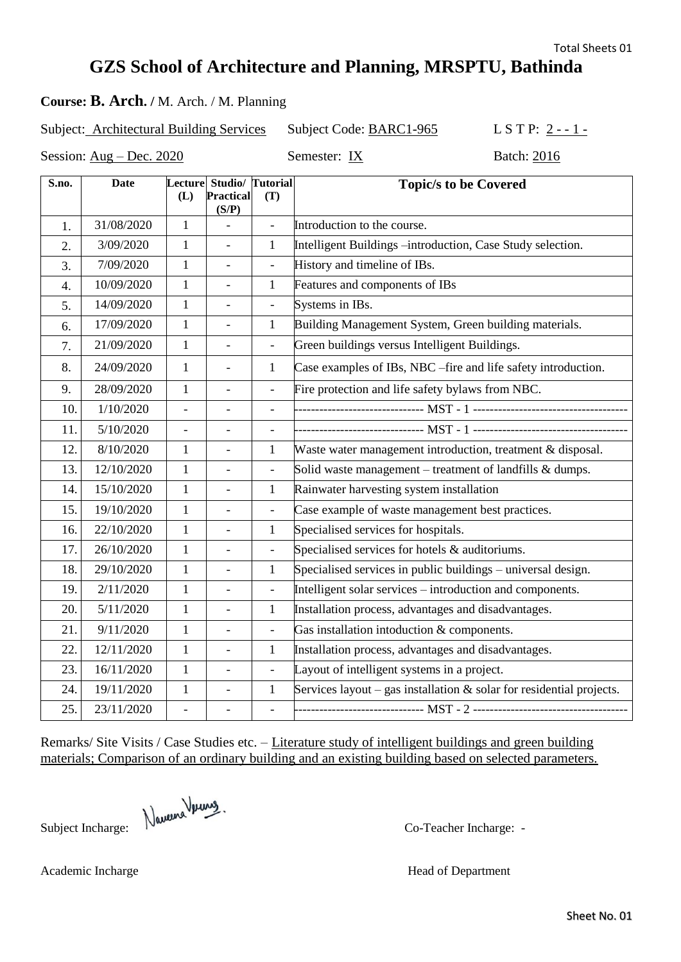Sheet No. 01

## **GZS School of Architecture and Planning, MRSPTU, Bathinda**

### **Course: B. Arch. /** M. Arch. / M. Planning

Subject: Architectural Building Services Subject Code: BARC1-965 L S T P: 2 - - 1 -

Session:  $Aug - Dec. 2020$ 

| Semester: IX |  |
|--------------|--|
|--------------|--|

| S.no. | <b>Date</b> |                          | Lecture Studio/ Tutorial |                          | <b>Topic/s to be Covered</b>                                            |
|-------|-------------|--------------------------|--------------------------|--------------------------|-------------------------------------------------------------------------|
|       |             | (L)                      | Practical                | (T)                      |                                                                         |
| 1.    | 31/08/2020  | $\mathbf{1}$             | (S/P)                    |                          | Introduction to the course.                                             |
| 2.    | 3/09/2020   | 1                        | $\blacksquare$           | 1                        | Intelligent Buildings -introduction, Case Study selection.              |
| 3.    | 7/09/2020   | $\mathbf{1}$             | $\frac{1}{2}$            | $\blacksquare$           | History and timeline of IBs.                                            |
| 4.    | 10/09/2020  | $\mathbf{1}$             |                          | 1                        | Features and components of IBs                                          |
| 5.    | 14/09/2020  | $\mathbf{1}$             |                          | $\overline{a}$           | Systems in IBs.                                                         |
| 6.    | 17/09/2020  | $\mathbf{1}$             | $\overline{\phantom{0}}$ | $\mathbf{1}$             | Building Management System, Green building materials.                   |
| 7.    | 21/09/2020  | $\mathbf{1}$             | $\frac{1}{2}$            | $\overline{\phantom{a}}$ | Green buildings versus Intelligent Buildings.                           |
| 8.    | 24/09/2020  | $\mathbf{1}$             | $\overline{\phantom{a}}$ | $\mathbf{1}$             | Case examples of IBs, NBC – fire and life safety introduction.          |
| 9.    | 28/09/2020  | 1                        | $\overline{a}$           | $\overline{a}$           | Fire protection and life safety bylaws from NBC.                        |
| 10.   | 1/10/2020   | $\blacksquare$           | $\overline{\phantom{0}}$ | $\overline{\phantom{a}}$ |                                                                         |
| 11.   | 5/10/2020   | $\overline{\phantom{a}}$ |                          | $\frac{1}{2}$            |                                                                         |
| 12.   | 8/10/2020   | $\mathbf{1}$             | $\overline{a}$           | $\mathbf{1}$             | Waste water management introduction, treatment & disposal.              |
| 13.   | 12/10/2020  | $\mathbf{1}$             | $\blacksquare$           | $\overline{\phantom{0}}$ | Solid waste management – treatment of landfills $\&$ dumps.             |
| 14.   | 15/10/2020  | $\mathbf{1}$             | $\overline{\phantom{0}}$ | $\mathbf{1}$             | Rainwater harvesting system installation                                |
| 15.   | 19/10/2020  | $\mathbf{1}$             | $\overline{\phantom{0}}$ | $\overline{\phantom{a}}$ | Case example of waste management best practices.                        |
| 16.   | 22/10/2020  | $\mathbf{1}$             |                          | $\mathbf{1}$             | Specialised services for hospitals.                                     |
| 17.   | 26/10/2020  | $\mathbf{1}$             | $\overline{a}$           |                          | Specialised services for hotels $\&$ auditoriums.                       |
| 18.   | 29/10/2020  | $\mathbf{1}$             | $\overline{\phantom{0}}$ | $\mathbf{1}$             | Specialised services in public buildings – universal design.            |
| 19.   | 2/11/2020   | $\mathbf{1}$             | $\overline{\phantom{0}}$ | $\overline{\phantom{a}}$ | Intelligent solar services – introduction and components.               |
| 20.   | 5/11/2020   | $\mathbf{1}$             |                          | 1                        | Installation process, advantages and disadvantages.                     |
| 21.   | 9/11/2020   | $\mathbf{1}$             |                          |                          | Gas installation intoduction & components.                              |
| 22.   | 12/11/2020  | $\mathbf{1}$             | $\overline{a}$           | $\mathbf{1}$             | Installation process, advantages and disadvantages.                     |
| 23.   | 16/11/2020  | $\mathbf{1}$             | $\overline{\phantom{0}}$ | $\blacksquare$           | Layout of intelligent systems in a project.                             |
| 24.   | 19/11/2020  | $\mathbf{1}$             | $\overline{\phantom{0}}$ | $\mathbf{1}$             | Services layout – gas installation $\&$ solar for residential projects. |
| 25.   | 23/11/2020  |                          |                          | $\overline{a}$           |                                                                         |

Remarks/ Site Visits / Case Studies etc. – Literature study of intelligent buildings and green building materials; Comparison of an ordinary building and an existing building based on selected parameters.

Academic Incharge Head of Department

Subject Incharge: Newway,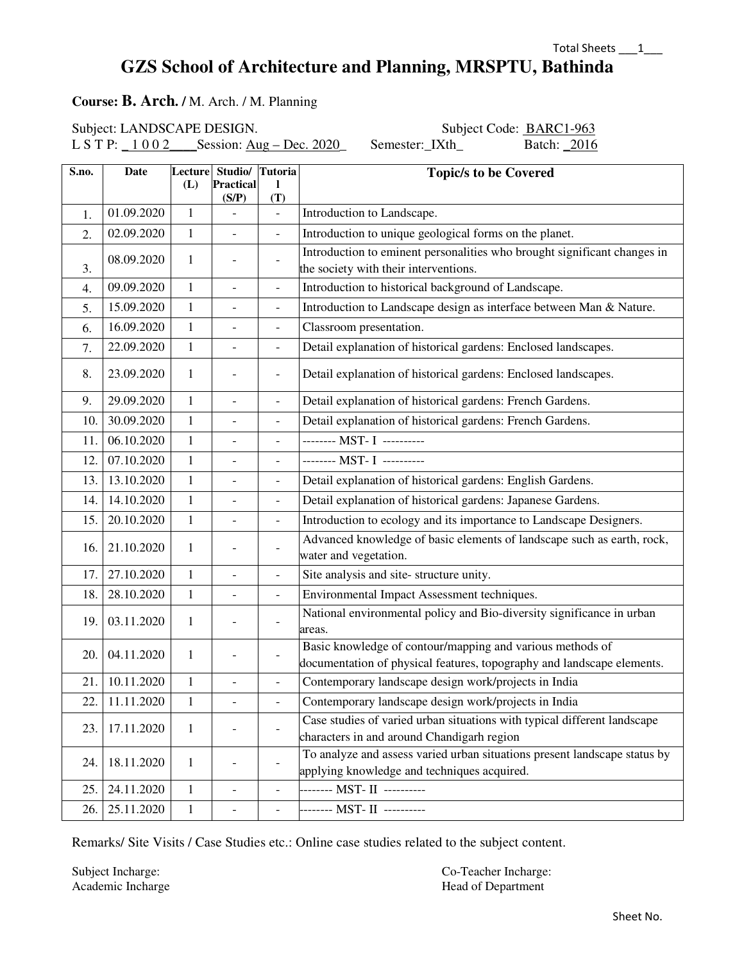### **GZS School of Architecture and Planning, MRSPTU, Bathinda**

#### **Course: B. Arch. /** M. Arch. / M. Planning

Subject: LANDSCAPE DESIGN. Subject Code: BARC1-963

L S T P:  $\underline{1002}$  Session: Aug – Dec. 2020 Semester: IXth Batch: 2016

| S.no. | <b>Date</b> | Lecture<br>(L) | Studio/ Tutoria<br><b>Practical</b> | L                        | <b>Topic/s to be Covered</b>                                                                                                        |
|-------|-------------|----------------|-------------------------------------|--------------------------|-------------------------------------------------------------------------------------------------------------------------------------|
|       |             |                | (S/P)                               | (T)                      |                                                                                                                                     |
| 1.    | 01.09.2020  | $\mathbf{1}$   |                                     | $\blacksquare$           | Introduction to Landscape.                                                                                                          |
| 2.    | 02.09.2020  | $\mathbf{1}$   | $\overline{a}$                      | $\frac{1}{2}$            | Introduction to unique geological forms on the planet.                                                                              |
| 3.    | 08.09.2020  | 1              | $\overline{\phantom{0}}$            | $\overline{\phantom{a}}$ | Introduction to eminent personalities who brought significant changes in<br>the society with their interventions.                   |
| 4.    | 09.09.2020  | 1              | $\equiv$                            | $\overline{\phantom{a}}$ | Introduction to historical background of Landscape.                                                                                 |
| 5.    | 15.09.2020  | $\mathbf{1}$   |                                     | $\blacksquare$           | Introduction to Landscape design as interface between Man & Nature.                                                                 |
| 6.    | 16.09.2020  | 1              | $\overline{\phantom{m}}$            | $\overline{\phantom{a}}$ | Classroom presentation.                                                                                                             |
| 7.    | 22.09.2020  | $\mathbf{1}$   | $\overline{\phantom{a}}$            | $\overline{\phantom{a}}$ | Detail explanation of historical gardens: Enclosed landscapes.                                                                      |
| 8.    | 23.09.2020  | 1              |                                     | $\overline{\phantom{a}}$ | Detail explanation of historical gardens: Enclosed landscapes.                                                                      |
| 9.    | 29.09.2020  | $\mathbf{1}$   | $\frac{1}{2}$                       | $\frac{1}{2}$            | Detail explanation of historical gardens: French Gardens.                                                                           |
| 10.   | 30.09.2020  | $\mathbf{1}$   | $\blacksquare$                      | $\overline{\phantom{a}}$ | Detail explanation of historical gardens: French Gardens.                                                                           |
| 11.   | 06.10.2020  | $\mathbf{1}$   | $\equiv$                            | $\overline{\phantom{a}}$ | -------- MST- I ----------                                                                                                          |
| 12.   | 07.10.2020  | $\mathbf{1}$   | $\equiv$                            | $\blacksquare$           | -------- MST- I ---------                                                                                                           |
| 13.   | 13.10.2020  | $\mathbf{1}$   | $\overline{a}$                      | $\blacksquare$           | Detail explanation of historical gardens: English Gardens.                                                                          |
| 14.   | 14.10.2020  | $\mathbf{1}$   | $\overline{\phantom{a}}$            | $\overline{\phantom{a}}$ | Detail explanation of historical gardens: Japanese Gardens.                                                                         |
| 15.   | 20.10.2020  | $\mathbf{1}$   | $\overline{a}$                      | $\blacksquare$           | Introduction to ecology and its importance to Landscape Designers.                                                                  |
| 16.   | 21.10.2020  | 1              |                                     |                          | Advanced knowledge of basic elements of landscape such as earth, rock,<br>water and vegetation.                                     |
| 17.   | 27.10.2020  | $\mathbf{1}$   | $\overline{a}$                      | $\overline{\phantom{a}}$ | Site analysis and site-structure unity.                                                                                             |
| 18.   | 28.10.2020  | $\mathbf{1}$   | $\blacksquare$                      | $\blacksquare$           | Environmental Impact Assessment techniques.                                                                                         |
| 19.   | 03.11.2020  | $\mathbf{1}$   |                                     | $\blacksquare$           | National environmental policy and Bio-diversity significance in urban<br>areas.                                                     |
| 20.   | 04.11.2020  | 1              |                                     |                          | Basic knowledge of contour/mapping and various methods of<br>documentation of physical features, topography and landscape elements. |
| 21.   | 10.11.2020  | $\mathbf{1}$   | $\overline{\phantom{m}}$            | $\overline{\phantom{a}}$ | Contemporary landscape design work/projects in India                                                                                |
| 22.   | 11.11.2020  | $\mathbf{1}$   |                                     |                          | Contemporary landscape design work/projects in India                                                                                |
| 23.   | 17.11.2020  | 1              |                                     |                          | Case studies of varied urban situations with typical different landscape<br>characters in and around Chandigarh region              |
| 24.   | 18.11.2020  | $\mathbf{1}$   |                                     |                          | To analyze and assess varied urban situations present landscape status by<br>applying knowledge and techniques acquired.            |
| 25.   | 24.11.2020  | $\mathbf{1}$   | $\overline{a}$                      | $\overline{\phantom{a}}$ | -------- MST- II ----------                                                                                                         |
| 26.   | 25.11.2020  | $\mathbf{1}$   | $\overline{\phantom{0}}$            |                          | -------- MST- II ----------                                                                                                         |

Remarks/ Site Visits / Case Studies etc.: Online case studies related to the subject content.

Subject Incharge: Co-Teacher Incharge: Co-Teacher Incharge: Academic Incharge Head of Department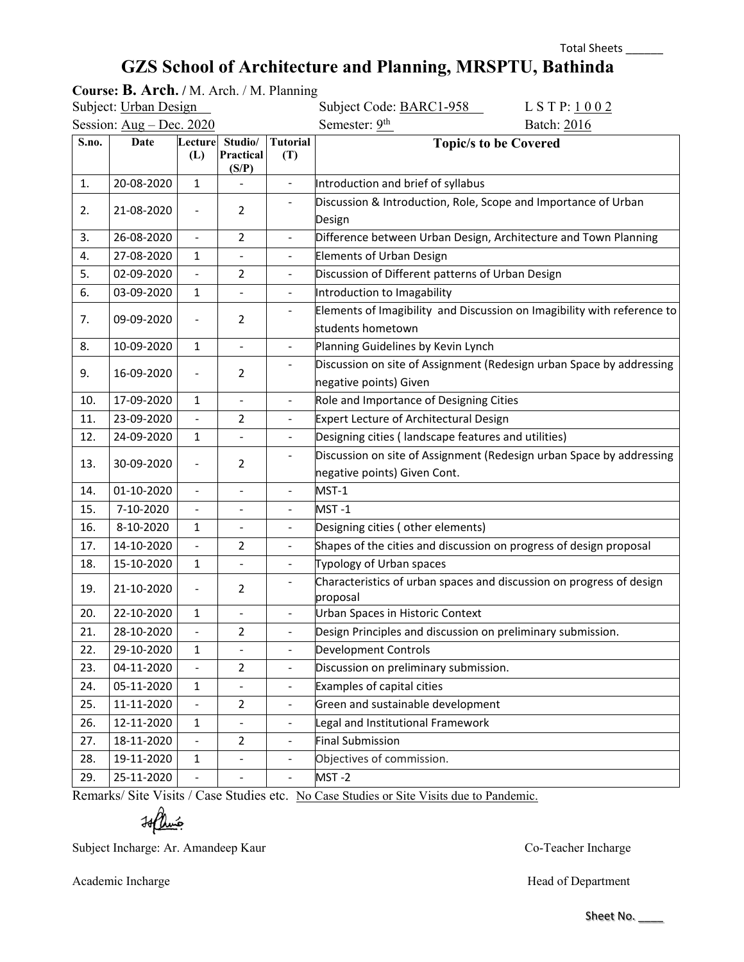# **GZS School of Architecture and Planning, MRSPTU, Bathinda**

|       | Course: B. Arch. / M. Arch. / M. Planning |                          |                               |                        |                                                                                                      |
|-------|-------------------------------------------|--------------------------|-------------------------------|------------------------|------------------------------------------------------------------------------------------------------|
|       | Subject: Urban Design                     |                          |                               |                        | Subject Code: BARC1-958<br>LSTP: 1002                                                                |
|       | Session: Aug - Dec. 2020                  |                          |                               |                        | Semester: 9 <sup>th</sup><br>Batch: 2016                                                             |
| S.no. | Date                                      | Lecture<br>(L)           | Studio/<br>Practical<br>(S/P) | <b>Tutorial</b><br>(T) | <b>Topic/s to be Covered</b>                                                                         |
| 1.    | 20-08-2020                                | $\mathbf{1}$             | $\blacksquare$                | $\blacksquare$         | Introduction and brief of syllabus                                                                   |
| 2.    | 21-08-2020                                |                          | $\overline{2}$                |                        | Discussion & Introduction, Role, Scope and Importance of Urban<br>Design                             |
| 3.    | 26-08-2020                                | $\overline{a}$           | $\overline{2}$                | $\blacksquare$         | Difference between Urban Design, Architecture and Town Planning                                      |
| 4.    | 27-08-2020                                | 1                        | $\blacksquare$                | $\blacksquare$         | <b>Elements of Urban Design</b>                                                                      |
| 5.    | 02-09-2020                                |                          | $\overline{2}$                |                        | Discussion of Different patterns of Urban Design                                                     |
| 6.    | 03-09-2020                                | $\mathbf{1}$             | $\overline{a}$                | $\blacksquare$         | Introduction to Imagability                                                                          |
| 7.    | 09-09-2020                                | $\overline{a}$           | 2                             |                        | Elements of Imagibility and Discussion on Imagibility with reference to<br>students hometown         |
| 8.    | 10-09-2020                                | $\mathbf{1}$             | $\blacksquare$                | $\blacksquare$         | Planning Guidelines by Kevin Lynch                                                                   |
| 9.    | 16-09-2020                                | $\overline{\phantom{0}}$ | $\overline{2}$                |                        | Discussion on site of Assignment (Redesign urban Space by addressing<br>negative points) Given       |
| 10.   | 17-09-2020                                | 1                        | $\qquad \qquad \blacksquare$  | $\blacksquare$         | Role and Importance of Designing Cities                                                              |
| 11.   | 23-09-2020                                |                          | $\overline{2}$                | $\blacksquare$         | Expert Lecture of Architectural Design                                                               |
| 12.   | 24-09-2020                                | $\mathbf{1}$             | $\blacksquare$                | $\blacksquare$         | Designing cities (landscape features and utilities)                                                  |
| 13.   | 30-09-2020                                |                          | $\overline{2}$                |                        | Discussion on site of Assignment (Redesign urban Space by addressing<br>negative points) Given Cont. |
| 14.   | 01-10-2020                                | $\overline{a}$           | $\blacksquare$                | $\blacksquare$         | MST-1                                                                                                |
| 15.   | 7-10-2020                                 | ÷,                       |                               | $\blacksquare$         | MST-1                                                                                                |
| 16.   | 8-10-2020                                 | 1                        | $\blacksquare$                | $\blacksquare$         | Designing cities (other elements)                                                                    |
| 17.   | 14-10-2020                                | $\overline{a}$           | 2                             |                        | Shapes of the cities and discussion on progress of design proposal                                   |
| 18.   | 15-10-2020                                | $\mathbf{1}$             | $\overline{a}$                | $\blacksquare$         | Typology of Urban spaces                                                                             |
| 19.   | 21-10-2020                                | $\blacksquare$           | $\overline{2}$                |                        | Characteristics of urban spaces and discussion on progress of design<br>proposal                     |
| 20.   | 22-10-2020                                | $\mathbf{1}$             | $\blacksquare$                |                        | Urban Spaces in Historic Context                                                                     |
| 21.   | 28-10-2020                                |                          | $\overline{2}$                |                        | Design Principles and discussion on preliminary submission.                                          |
| 22.   | 29-10-2020                                | $\mathbf{1}$             | $\blacksquare$                |                        | Development Controls                                                                                 |
| 23.   | 04-11-2020                                |                          | $\overline{2}$                |                        | Discussion on preliminary submission.                                                                |
| 24.   | 05-11-2020                                | $\mathbf{1}$             | $\blacksquare$                | $\blacksquare$         | <b>Examples of capital cities</b>                                                                    |
| 25.   | 11-11-2020                                |                          | $\overline{2}$                | $\blacksquare$         | Green and sustainable development                                                                    |
| 26.   | 12-11-2020                                | $\mathbf{1}$             |                               |                        | Legal and Institutional Framework                                                                    |
| 27.   | 18-11-2020                                |                          | $\overline{2}$                | $\blacksquare$         | <b>Final Submission</b>                                                                              |
| 28.   | 19-11-2020                                | $\mathbf{1}$             | $\blacksquare$                | $\blacksquare$         | Objectives of commission.                                                                            |
| 29.   | 25-11-2020                                |                          |                               |                        | MST-2                                                                                                |

Remarks/ Site Visits / Case Studies etc. No Case Studies or Site Visits due to Pandemic.

 $H$ lumé

Subject Incharge: Ar. Amandeep Kaur Co-Teacher Incharge Co-Teacher Incharge

Academic Incharge Head of Department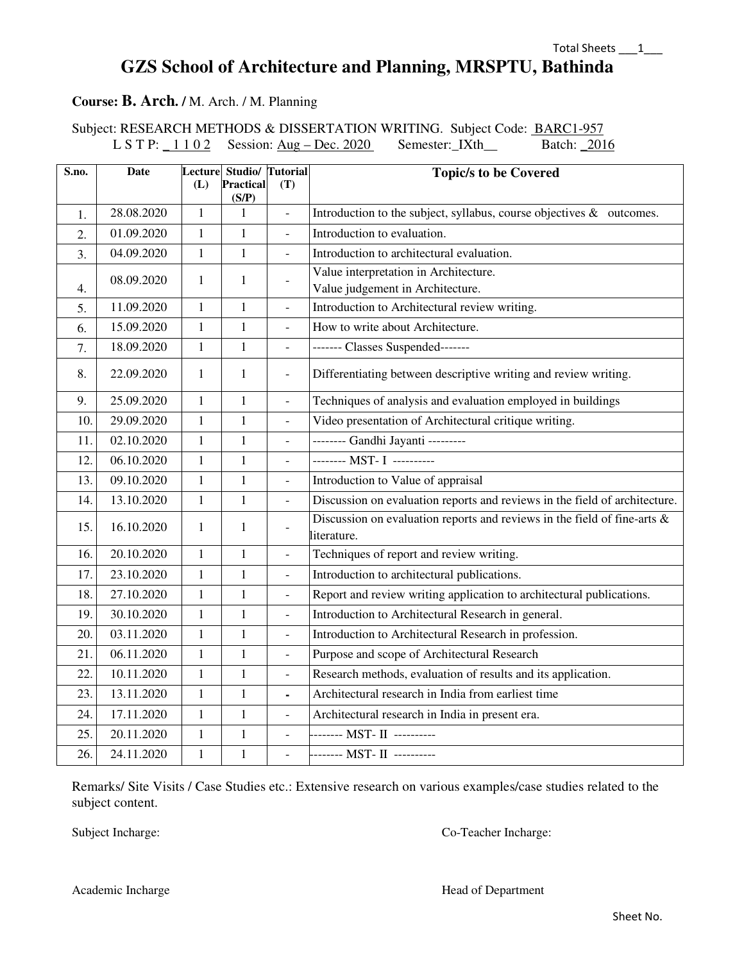### **GZS School of Architecture and Planning, MRSPTU, Bathinda**

#### **Course: B. Arch. /** M. Arch. / M. Planning

Subject: RESEARCH METHODS & DISSERTATION WRITING. Subject Code: BARC1-957 L S T P:  $\underline{1102}$  Session: <u>Aug – Dec. 2020</u> Semester: IXth\_\_ Batch: 2016

| S.no. | <b>Date</b> | (L)          | Lecture Studio/ Tutorial<br><b>Practical</b> | (T)                       | <b>Topic/s to be Covered</b>                                                               |
|-------|-------------|--------------|----------------------------------------------|---------------------------|--------------------------------------------------------------------------------------------|
|       |             |              | (S/P)                                        |                           |                                                                                            |
| 1.    | 28.08.2020  | $\mathbf{1}$ | 1                                            | $\mathbb{L}^{\mathbb{N}}$ | Introduction to the subject, syllabus, course objectives $\&$ outcomes.                    |
| 2.    | 01.09.2020  | $\mathbf{1}$ | $\mathbf{1}$                                 | $\overline{\phantom{a}}$  | Introduction to evaluation.                                                                |
| 3.    | 04.09.2020  | $\mathbf{1}$ | $\mathbf{1}$                                 | $\equiv$                  | Introduction to architectural evaluation.                                                  |
|       | 08.09.2020  | $\mathbf{1}$ | $\mathbf{1}$                                 | $\overline{\phantom{a}}$  | Value interpretation in Architecture.                                                      |
| 4.    |             |              |                                              |                           | Value judgement in Architecture.                                                           |
| 5.    | 11.09.2020  | $\mathbf{1}$ | 1                                            | $\blacksquare$            | Introduction to Architectural review writing.                                              |
| 6.    | 15.09.2020  | $\mathbf{1}$ | $\mathbf{1}$                                 | $\Box$                    | How to write about Architecture.                                                           |
| 7.    | 18.09.2020  | $\mathbf{1}$ | $\mathbf{1}$                                 | $\blacksquare$            | ------- Classes Suspended-------                                                           |
| 8.    | 22.09.2020  | $\mathbf{1}$ | 1                                            | $\overline{\phantom{a}}$  | Differentiating between descriptive writing and review writing.                            |
| 9.    | 25.09.2020  | $\mathbf{1}$ | $\mathbf{1}$                                 | $\overline{\phantom{a}}$  | Techniques of analysis and evaluation employed in buildings                                |
| 10.   | 29.09.2020  | $\mathbf{1}$ | $\mathbf{1}$                                 | $\overline{\phantom{a}}$  | Video presentation of Architectural critique writing.                                      |
| 11.   | 02.10.2020  | $\mathbf{1}$ | $\mathbf{1}$                                 | $\overline{\phantom{0}}$  | -------- Gandhi Jayanti ---------                                                          |
| 12.   | 06.10.2020  | $\mathbf{1}$ | 1                                            | $\frac{1}{2}$             | -------- MST- I ---------                                                                  |
| 13.   | 09.10.2020  | $\mathbf{1}$ | 1                                            | $\blacksquare$            | Introduction to Value of appraisal                                                         |
| 14.   | 13.10.2020  | $\mathbf{1}$ | $\mathbf{1}$                                 | $\overline{\phantom{0}}$  | Discussion on evaluation reports and reviews in the field of architecture.                 |
| 15.   | 16.10.2020  | 1            | 1                                            | $\overline{\phantom{a}}$  | Discussion on evaluation reports and reviews in the field of fine-arts $\&$<br>literature. |
| 16.   | 20.10.2020  | $\mathbf{1}$ | $\mathbf{1}$                                 | $\overline{a}$            | Techniques of report and review writing.                                                   |
| 17.   | 23.10.2020  | $\mathbf{1}$ | $\mathbf{1}$                                 | $\overline{\phantom{a}}$  | Introduction to architectural publications.                                                |
| 18.   | 27.10.2020  | $\mathbf{1}$ | $\mathbf{1}$                                 | $\overline{a}$            | Report and review writing application to architectural publications.                       |
| 19.   | 30.10.2020  | $\mathbf{1}$ | $\mathbf{1}$                                 | $\overline{\phantom{a}}$  | Introduction to Architectural Research in general.                                         |
| 20.   | 03.11.2020  | $\mathbf{1}$ | $\mathbf{1}$                                 | $\equiv$                  | Introduction to Architectural Research in profession.                                      |
| 21.   | 06.11.2020  | $\mathbf{1}$ | 1                                            | $\overline{\phantom{a}}$  | Purpose and scope of Architectural Research                                                |
| 22.   | 10.11.2020  | $\mathbf{1}$ | $\mathbf{1}$                                 | $\overline{\phantom{a}}$  | Research methods, evaluation of results and its application.                               |
| 23.   | 13.11.2020  | $\mathbf{1}$ | $\mathbf{1}$                                 | $\blacksquare$            | Architectural research in India from earliest time                                         |
| 24.   | 17.11.2020  | $\mathbf{1}$ | $\mathbf{1}$                                 | $\blacksquare$            | Architectural research in India in present era.                                            |
| 25.   | 20.11.2020  | $\mathbf{1}$ | $\mathbf{1}$                                 | $\blacksquare$            | -------- MST- II ----------                                                                |
| 26.   | 24.11.2020  | $\mathbf{1}$ | $\mathbf{1}$                                 | $\blacksquare$            | -------- MST- II ----------                                                                |

Remarks/ Site Visits / Case Studies etc.: Extensive research on various examples/case studies related to the subject content.

Subject Incharge: Co-Teacher Incharge: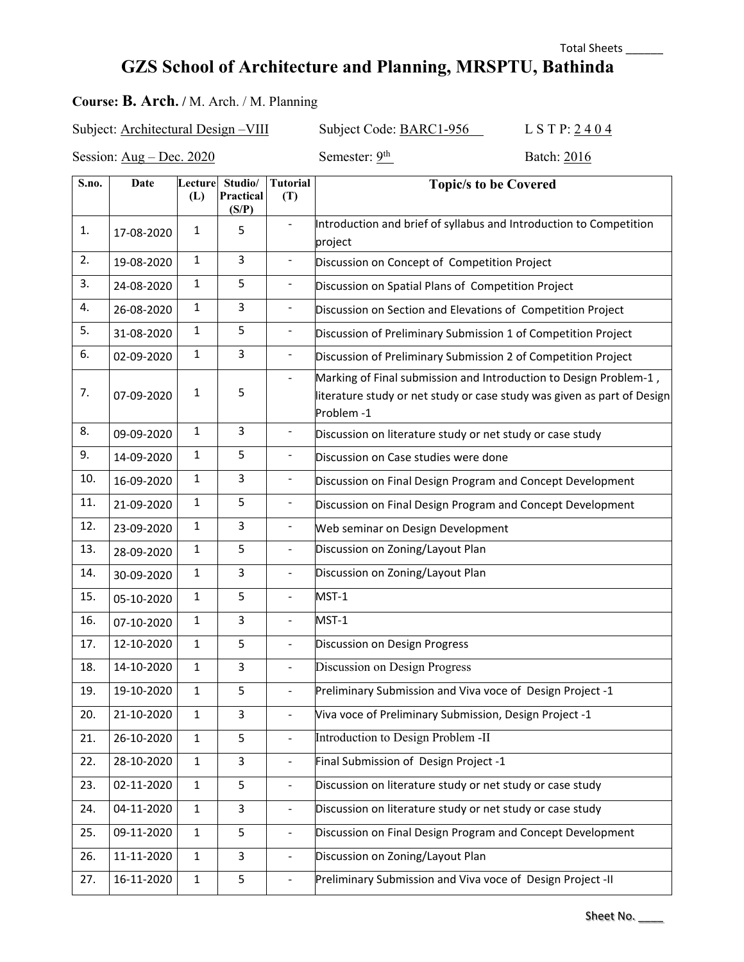### Total Sheets \_\_\_\_\_\_

# **GZS School of Architecture and Planning, MRSPTU, Bathinda**

### **Course: B. Arch. /** M. Arch. / M. Planning

Subject: Architectural Design –VIII Subject Code: BARC1-956 L S T P: 2404

Session:  $\overline{\text{Aug} - \text{Dec. 2020}}$  Semester:  $\frac{\text{Qth}}{\text{D}}$  Batch: 2016

| S.no. | Date       | Lecture<br>(L) | Studio/<br>Practical<br>(S/P) | <b>Tutorial</b><br>(T)       | <b>Topic/s to be Covered</b>                                                                                                                               |
|-------|------------|----------------|-------------------------------|------------------------------|------------------------------------------------------------------------------------------------------------------------------------------------------------|
| 1.    | 17-08-2020 | $\mathbf{1}$   | 5                             |                              | Introduction and brief of syllabus and Introduction to Competition<br>project                                                                              |
| 2.    | 19-08-2020 | $\mathbf{1}$   | 3                             | $\blacksquare$               | Discussion on Concept of Competition Project                                                                                                               |
| 3.    | 24-08-2020 | $\mathbf{1}$   | 5                             | $\qquad \qquad \blacksquare$ | Discussion on Spatial Plans of Competition Project                                                                                                         |
| 4.    | 26-08-2020 | $\mathbf{1}$   | 3                             | $\blacksquare$               | Discussion on Section and Elevations of Competition Project                                                                                                |
| 5.    | 31-08-2020 | $\mathbf{1}$   | 5                             | $\qquad \qquad \blacksquare$ | Discussion of Preliminary Submission 1 of Competition Project                                                                                              |
| 6.    | 02-09-2020 | $\mathbf{1}$   | 3                             | $\overline{\phantom{0}}$     | Discussion of Preliminary Submission 2 of Competition Project                                                                                              |
| 7.    | 07-09-2020 | $\mathbf{1}$   | 5                             | $\overline{\phantom{a}}$     | Marking of Final submission and Introduction to Design Problem-1,<br>literature study or net study or case study was given as part of Design<br>Problem -1 |
| 8.    | 09-09-2020 | $\mathbf{1}$   | 3                             | $\blacksquare$               | Discussion on literature study or net study or case study                                                                                                  |
| 9.    | 14-09-2020 | $\mathbf{1}$   | 5                             |                              | Discussion on Case studies were done                                                                                                                       |
| 10.   | 16-09-2020 | $\mathbf{1}$   | $\mathsf 3$                   | $\blacksquare$               | Discussion on Final Design Program and Concept Development                                                                                                 |
| 11.   | 21-09-2020 | $\mathbf{1}$   | 5                             | $\overline{\phantom{0}}$     | Discussion on Final Design Program and Concept Development                                                                                                 |
| 12.   | 23-09-2020 | $\mathbf{1}$   | 3                             | $\blacksquare$               | Web seminar on Design Development                                                                                                                          |
| 13.   | 28-09-2020 | $\mathbf{1}$   | 5                             | $\overline{a}$               | Discussion on Zoning/Layout Plan                                                                                                                           |
| 14.   | 30-09-2020 | $\mathbf{1}$   | 3                             | $\frac{1}{2}$                | Discussion on Zoning/Layout Plan                                                                                                                           |
| 15.   | 05-10-2020 | $\mathbf{1}$   | 5                             | $\overline{\phantom{a}}$     | MST-1                                                                                                                                                      |
| 16.   | 07-10-2020 | $\mathbf{1}$   | 3                             | $\equiv$                     | MST-1                                                                                                                                                      |
| 17.   | 12-10-2020 | $\mathbf{1}$   | 5                             | $\blacksquare$               | Discussion on Design Progress                                                                                                                              |
| 18.   | 14-10-2020 | $\mathbf{1}$   | 3                             | $\equiv$                     | Discussion on Design Progress                                                                                                                              |
| 19.   | 19-10-2020 | $\mathbf{1}$   | 5                             | $\blacksquare$               | Preliminary Submission and Viva voce of Design Project -1                                                                                                  |
| 20.   | 21-10-2020 | $\mathbf{1}$   | 3                             | $\overline{\phantom{a}}$     | Viva voce of Preliminary Submission, Design Project -1                                                                                                     |
| 21.   | 26-10-2020 | $\mathbf{1}$   | 5                             | $\frac{1}{2}$                | Introduction to Design Problem -II                                                                                                                         |
| 22.   | 28-10-2020 | $\mathbf{1}$   | 3                             | $\qquad \qquad \blacksquare$ | Final Submission of Design Project -1                                                                                                                      |
| 23.   | 02-11-2020 | $\mathbf{1}$   | 5                             | $\qquad \qquad \blacksquare$ | Discussion on literature study or net study or case study                                                                                                  |
| 24.   | 04-11-2020 | $\mathbf{1}$   | 3                             | $\blacksquare$               | Discussion on literature study or net study or case study                                                                                                  |
| 25.   | 09-11-2020 | $\mathbf{1}$   | 5                             | $\blacksquare$               | Discussion on Final Design Program and Concept Development                                                                                                 |
| 26.   | 11-11-2020 | $\mathbf{1}$   | 3                             | $\blacksquare$               | Discussion on Zoning/Layout Plan                                                                                                                           |
| 27.   | 16-11-2020 | $\mathbf{1}$   | 5                             |                              | Preliminary Submission and Viva voce of Design Project -II                                                                                                 |

Sheet No.